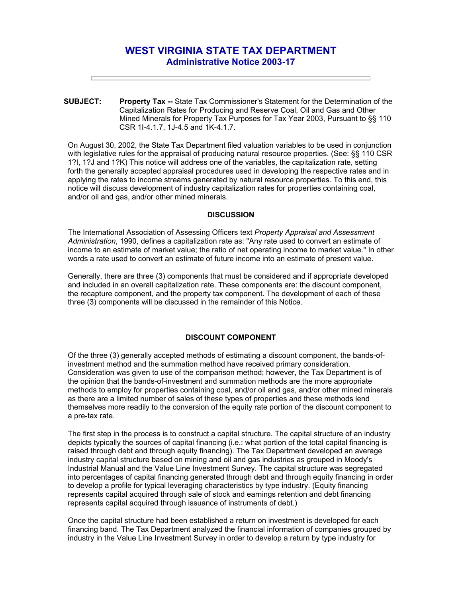# **WEST VIRGINIA STATE TAX DEPARTMENT Administrative Notice 2003-17**

**SUBJECT: Property Tax --** State Tax Commissioner's Statement for the Determination of the Capitalization Rates for Producing and Reserve Coal, Oil and Gas and Other Mined Minerals for Property Tax Purposes for Tax Year 2003, Pursuant to §§ 110 CSR 1I-4.1.7, 1J-4.5 and 1K-4.1.7.

On August 30, 2002, the State Tax Department filed valuation variables to be used in conjunction with legislative rules for the appraisal of producing natural resource properties. (See: §§ 110 CSR 1?I, 1?J and 1?K) This notice will address one of the variables, the capitalization rate, setting forth the generally accepted appraisal procedures used in developing the respective rates and in applying the rates to income streams generated by natural resource properties. To this end, this notice will discuss development of industry capitalization rates for properties containing coal, and/or oil and gas, and/or other mined minerals.

### **DISCUSSION**

The International Association of Assessing Officers text *Property Appraisal and Assessment Administration*, 1990, defines a capitalization rate as: "Any rate used to convert an estimate of income to an estimate of market value; the ratio of net operating income to market value." In other words a rate used to convert an estimate of future income into an estimate of present value.

Generally, there are three (3) components that must be considered and if appropriate developed and included in an overall capitalization rate. These components are: the discount component, the recapture component, and the property tax component. The development of each of these three (3) components will be discussed in the remainder of this Notice.

## **DISCOUNT COMPONENT**

Of the three (3) generally accepted methods of estimating a discount component, the bands-ofinvestment method and the summation method have received primary consideration. Consideration was given to use of the comparison method; however, the Tax Department is of the opinion that the bands-of-investment and summation methods are the more appropriate methods to employ for properties containing coal, and/or oil and gas, and/or other mined minerals as there are a limited number of sales of these types of properties and these methods lend themselves more readily to the conversion of the equity rate portion of the discount component to a pre-tax rate.

The first step in the process is to construct a capital structure. The capital structure of an industry depicts typically the sources of capital financing (i.e.: what portion of the total capital financing is raised through debt and through equity financing). The Tax Department developed an average industry capital structure based on mining and oil and gas industries as grouped in Moody's Industrial Manual and the Value Line Investment Survey. The capital structure was segregated into percentages of capital financing generated through debt and through equity financing in order to develop a profile for typical leveraging characteristics by type industry. (Equity financing represents capital acquired through sale of stock and earnings retention and debt financing represents capital acquired through issuance of instruments of debt.)

Once the capital structure had been established a return on investment is developed for each financing band. The Tax Department analyzed the financial information of companies grouped by industry in the Value Line Investment Survey in order to develop a return by type industry for